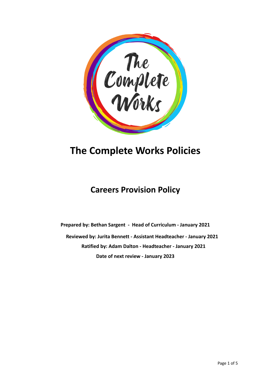

# **The Complete Works Policies**

## **Careers Provision Policy**

**Prepared by: Bethan Sargent - Head of Curriculum - January 2021 Reviewed by: Jurita Bennett - Assistant Headteacher - January 2021 Ratified by: Adam Dalton - Headteacher - January 2021 Date of next review - January 2023**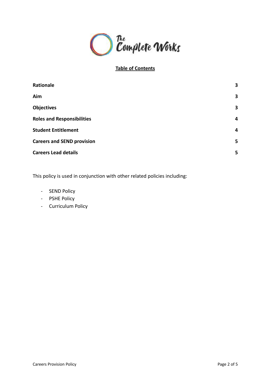

### **Table of Contents**

| 3                       |
|-------------------------|
| $\overline{\mathbf{3}}$ |
| $\overline{\mathbf{3}}$ |
| 4                       |
| 4                       |
| 5                       |
| 5                       |
|                         |

This policy is used in conjunction with other related policies including:

- SEND Policy
- PSHE Policy
- Curriculum Policy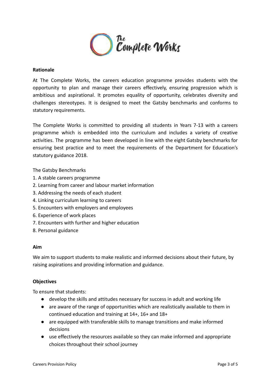

#### <span id="page-2-0"></span>**Rationale**

At The Complete Works, the careers education programme provides students with the opportunity to plan and manage their careers effectively, ensuring progression which is ambitious and aspirational. It promotes equality of opportunity, celebrates diversity and challenges stereotypes. It is designed to meet the Gatsby benchmarks and conforms to statutory requirements.

The Complete Works is committed to providing all students in Years 7-13 with a careers programme which is embedded into the curriculum and includes a variety of creative activities. The programme has been developed in line with the eight Gatsby benchmarks for ensuring best practice and to meet the requirements of the Department for Education's statutory guidance 2018.

The Gatsby Benchmarks

- 1. A stable careers programme
- 2. Learning from career and labour market information
- 3. Addressing the needs of each student
- 4. Linking curriculum learning to careers
- 5. Encounters with employers and employees
- 6. Experience of work places
- 7. Encounters with further and higher education
- <span id="page-2-1"></span>8. Personal guidance

#### **Aim**

We aim to support students to make realistic and informed decisions about their future, by raising aspirations and providing information and guidance.

#### <span id="page-2-2"></span>**Objectives**

To ensure that students:

- develop the skills and attitudes necessary for success in adult and working life
- are aware of the range of opportunities which are realistically available to them in continued education and training at 14+, 16+ and 18+
- are equipped with transferable skills to manage transitions and make informed decisions
- use effectively the resources available so they can make informed and appropriate choices throughout their school journey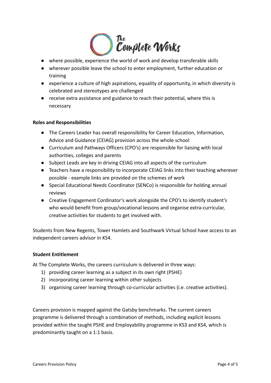

- where possible, experience the world of work and develop transferable skills
- wherever possible leave the school to enter employment, further education or training
- experience a culture of high aspirations, equality of opportunity, in which diversity is celebrated and stereotypes are challenged
- receive extra assistance and guidance to reach their potential, where this is necessary

#### <span id="page-3-0"></span>**Roles and Responsibilities**

- The Careers Leader has overall responsibility for Career Education, Information, Advice and Guidance (CEIAG) provision across the whole school
- Curriculum and Pathways Officers (CPO's) are responsible for liaising with local authorities, colleges and parents
- Subject Leads are key in driving CEIAG into all aspects of the curriculum
- Teachers have a responsibility to incorporate CEIAG links into their teaching wherever possible - example links are provided on the schemes of work
- Special Educational Needs Coordinator (SENCo) is responsible for holding annual reviews
- Creative Engagement Cordinator's work alongside the CPO's to identify student's who would benefit from group/vocational lessons and organise extra-curricular, creative activities for students to get involved with.

Students from New Regents, Tower Hamlets and Southwark Virtual School have access to an independent careers advisor in KS4.

#### <span id="page-3-1"></span>**Student Entitlement**

At The Complete Works, the careers curriculum is delivered in three ways:

- 1) providing career learning as a subject in its own right (PSHE)
- 2) incorporating career learning within other subjects
- 3) organising career learning through co-curricular activities (i.e. creative activities).

Careers provision is mapped against the Gatsby benchmarks. The current careers programme is delivered through a combination of methods, including explicit lessons provided within the taught PSHE and Employability programme in KS3 and KS4, which is predominantly taught on a 1:1 basis.